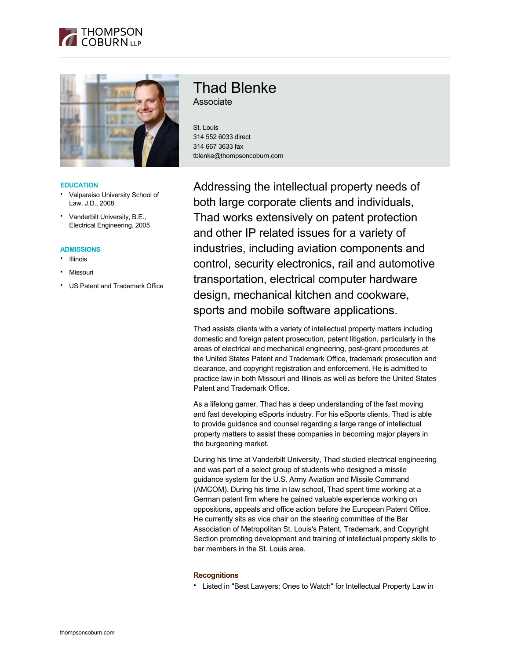



### **EDUCATION**

- Valparaiso University School of Law, J.D., 2008
- Vanderbilt University, B.E., Electrical Engineering, 2005

#### **ADMISSIONS**

- Illinois
- **Missouri**
- US Patent and Trademark Office

# Thad Blenke

Associate

St. Louis 314 552 6033 direct 314 667 3633 fax tblenke@thompsoncoburn.com

Addressing the intellectual property needs of both large corporate clients and individuals, Thad works extensively on patent protection and other IP related issues for a variety of industries, including aviation components and control, security electronics, rail and automotive transportation, electrical computer hardware design, mechanical kitchen and cookware, sports and mobile software applications.

Thad assists clients with a variety of intellectual property matters including domestic and foreign patent prosecution, patent litigation, particularly in the areas of electrical and mechanical engineering, post-grant procedures at the United States Patent and Trademark Office, trademark prosecution and clearance, and copyright registration and enforcement. He is admitted to practice law in both Missouri and Illinois as well as before the United States Patent and Trademark Office.

As a lifelong gamer, Thad has a deep understanding of the fast moving and fast developing eSports industry. For his eSports clients, Thad is able to provide guidance and counsel regarding a large range of intellectual property matters to assist these companies in becoming major players in the burgeoning market.

During his time at Vanderbilt University, Thad studied electrical engineering and was part of a select group of students who designed a missile guidance system for the U.S. Army Aviation and Missile Command (AMCOM). During his time in law school, Thad spent time working at a German patent firm where he gained valuable experience working on oppositions, appeals and office action before the European Patent Office. He currently sits as vice chair on the steering committee of the Bar Association of Metropolitan St. Louis's Patent, Trademark, and Copyright Section promoting development and training of intellectual property skills to bar members in the St. Louis area.

### **Recognitions**

• Listed in "Best Lawyers: Ones to Watch" for Intellectual Property Law in